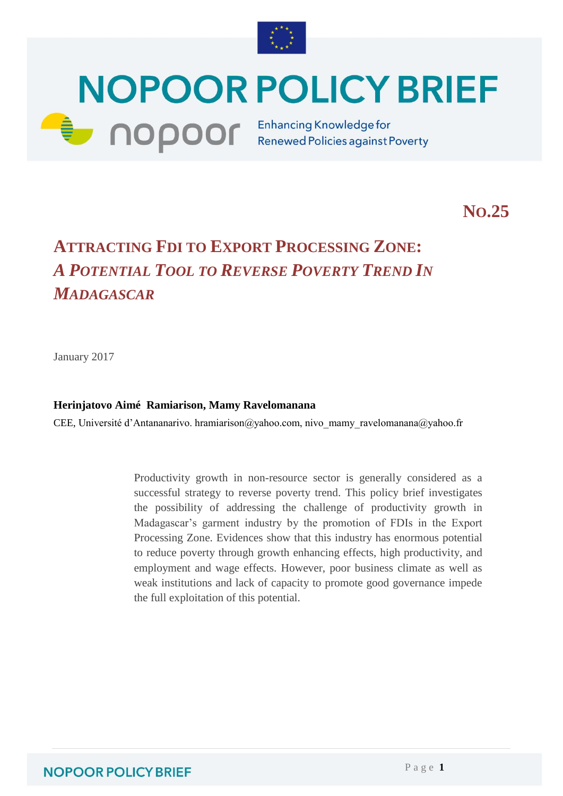

# **NOPOOR POLICY BRIEF CODOOF** Enhancing Knowledge for

**NO.25**

## **ATTRACTING FDI TO EXPORT PROCESSING ZONE:** *A POTENTIAL TOOL TO REVERSE POVERTY TREND IN MADAGASCAR*

January 2017

#### **Herinjatovo Aimé Ramiarison, Mamy Ravelomanana**

CEE, Université d'Antananarivo. hramiarison@yahoo.com, nivo\_mamy\_ravelomanana@yahoo.fr

Productivity growth in non-resource sector is generally considered as a successful strategy to reverse poverty trend. This policy brief investigates the possibility of addressing the challenge of productivity growth in Madagascar's garment industry by the promotion of FDIs in the Export Processing Zone. Evidences show that this industry has enormous potential to reduce poverty through growth enhancing effects, high productivity, and employment and wage effects. However, poor business climate as well as weak institutions and lack of capacity to promote good governance impede the full exploitation of this potential.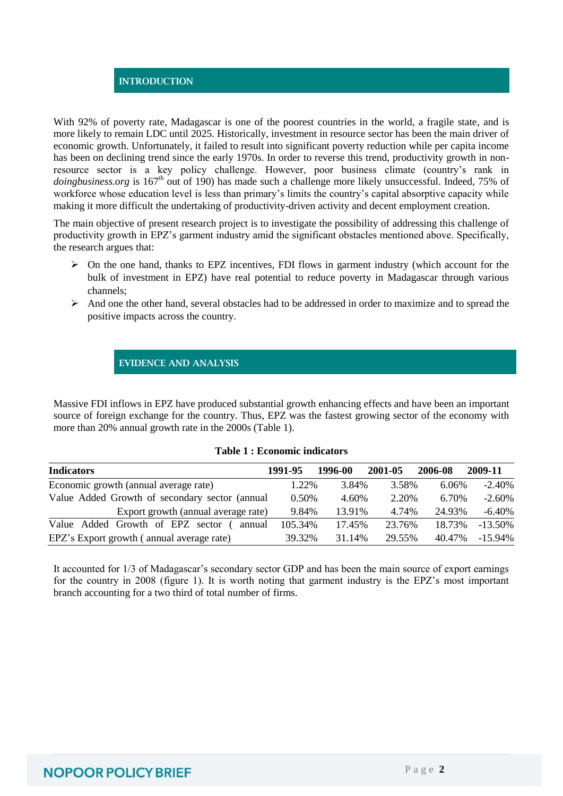#### **INTRODUCTION**

With 92% of poverty rate, Madagascar is one of the poorest countries in the world, a fragile state, and is more likely to remain LDC until 2025. Historically, investment in resource sector has been the main driver of economic growth. Unfortunately, it failed to result into significant poverty reduction while per capita income has been on declining trend since the early 1970s. In order to reverse this trend, productivity growth in nonresource sector is a key policy challenge. However, poor business climate (country's rank in *doingbusiness.org* is 167<sup>th</sup> out of 190) has made such a challenge more likely unsuccessful. Indeed, 75% of workforce whose education level is less than primary's limits the country's capital absorptive capacity while making it more difficult the undertaking of productivity-driven activity and decent employment creation.

The main objective of present research project is to investigate the possibility of addressing this challenge of productivity growth in EPZ's garment industry amid the significant obstacles mentioned above. Specifically, the research argues that:

- $\triangleright$  On the one hand, thanks to EPZ incentives. FDI flows in garment industry (which account for the bulk of investment in EPZ) have real potential to reduce poverty in Madagascar through various channels;
- $\triangleright$  And one the other hand, several obstacles had to be addressed in order to maximize and to spread the positive impacts across the country.

#### **EVIDENCE AND ANALYSIS**

Massive FDI inflows in EPZ have produced substantial growth enhancing effects and have been an important source of foreign exchange for the country. Thus, EPZ was the fastest growing sector of the economy with more than 20% annual growth rate in the 2000s (Table 1).

| <b>Indicators</b>                              | 1991-95  | 1996-00 | 2001-05 | 2006-08 | 2009-11    |
|------------------------------------------------|----------|---------|---------|---------|------------|
| Economic growth (annual average rate)          | 1.22%    | 3.84%   | 3.58%   | 6.06%   | $-2.40%$   |
| Value Added Growth of secondary sector (annual | $0.50\%$ | 4.60%   | 2.20%   | 6.70%   | $-2.60%$   |
| Export growth (annual average rate)            | 9.84%    | 13.91%  | 4.74%   | 24.93%  | -6.40%     |
| Value Added Growth of EPZ sector<br>annual     | 105.34%  | 17.45%  | 23.76%  | 18.73%  | $-13.50\%$ |
| EPZ's Export growth (annual average rate)      | 39.32%   | 31.14%  | 29.55%  | 40.47%  | $-15.94\%$ |

#### **Table 1 : Economic indicators**

It accounted for 1/3 of Madagascar's secondary sector GDP and has been the main source of export earnings for the country in 2008 (figure 1). It is worth noting that garment industry is the EPZ's most important branch accounting for a two third of total number of firms.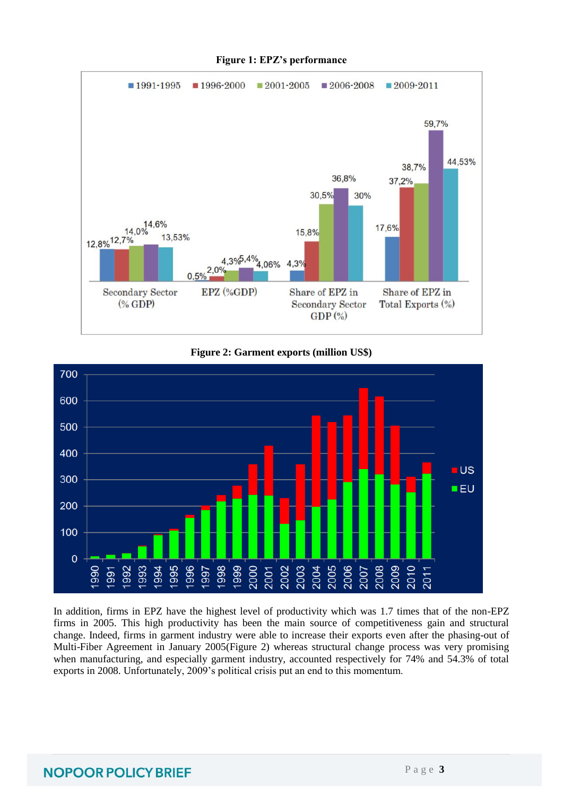

#### **Figure 1: EPZ's performance**





In addition, firms in EPZ have the highest level of productivity which was 1.7 times that of the non-EPZ firms in 2005. This high productivity has been the main source of competitiveness gain and structural change. Indeed, firms in garment industry were able to increase their exports even after the phasing-out of Multi-Fiber Agreement in January 2005(Figure 2) whereas structural change process was very promising when manufacturing, and especially garment industry, accounted respectively for 74% and 54.3% of total exports in 2008. Unfortunately, 2009's political crisis put an end to this momentum.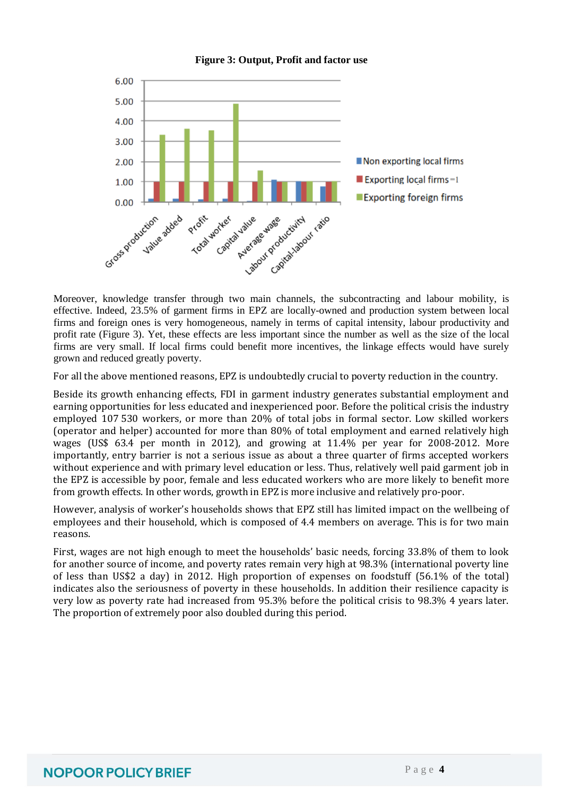

#### **Figure 3: Output, Profit and factor use**

effective. Indeed, 23.5% of garment firms in EPZ are locally-owned and production system between local firms and foreign ones is very homogeneous, namely in terms of capital intensity, labour productivity and profit rate (Figure 3). Yet, these effects are less important since the number as well as the size of the local firms are very small. If local firms could benefit more incentives, the linkage effects would have surely grown and reduced greatly poverty.

For all the above mentioned reasons, EPZ is undoubtedly crucial to poverty reduction in the country.

Beside its growth enhancing effects, FDI in garment industry generates substantial employment and earning opportunities for less educated and inexperienced poor. Before the political crisis the industry employed 107 530 workers, or more than 20% of total jobs in formal sector. Low skilled workers (operator and helper) accounted for more than 80% of total employment and earned relatively high wages (US\$ 63.4 per month in 2012), and growing at 11.4% per year for 2008-2012. More importantly, entry barrier is not a serious issue as about a three quarter of firms accepted workers without experience and with primary level education or less. Thus, relatively well paid garment job in the EPZ is accessible by poor, female and less educated workers who are more likely to benefit more from growth effects. In other words, growth in EPZ is more inclusive and relatively pro-poor.

However, analysis of worker's households shows that EPZ still has limited impact on the wellbeing of employees and their household, which is composed of 4.4 members on average. This is for two main reasons.

First, wages are not high enough to meet the households' basic needs, forcing 33.8% of them to look for another source of income, and poverty rates remain very high at 98.3% (international poverty line of less than US\$2 a day) in 2012. High proportion of expenses on foodstuff (56.1% of the total) indicates also the seriousness of poverty in these households. In addition their resilience capacity is very low as poverty rate had increased from 95.3% before the political crisis to 98.3% 4 years later. The proportion of extremely poor also doubled during this period.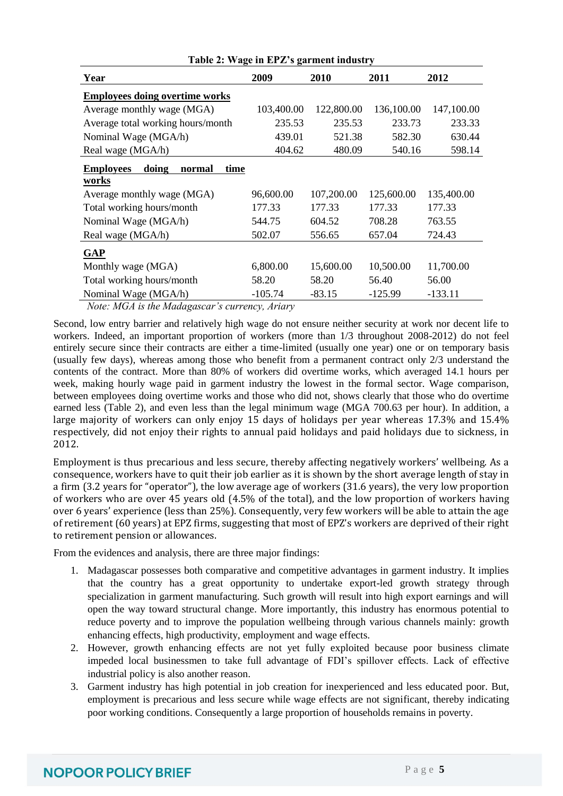| Year                                        | 2009       | 2010       | 2011       | 2012       |
|---------------------------------------------|------------|------------|------------|------------|
| <b>Employees doing overtime works</b>       |            |            |            |            |
| Average monthly wage (MGA)                  | 103,400.00 | 122,800.00 | 136,100.00 | 147,100.00 |
| Average total working hours/month           | 235.53     | 235.53     | 233.73     | 233.33     |
| Nominal Wage (MGA/h)                        | 439.01     | 521.38     | 582.30     | 630.44     |
| Real wage (MGA/h)                           | 404.62     | 480.09     | 540.16     | 598.14     |
| doing<br><b>Employees</b><br>time<br>normal |            |            |            |            |
| works                                       |            |            |            |            |
| Average monthly wage (MGA)                  | 96,600.00  | 107,200.00 | 125,600.00 | 135,400.00 |
| Total working hours/month                   | 177.33     | 177.33     | 177.33     | 177.33     |
| Nominal Wage (MGA/h)                        | 544.75     | 604.52     | 708.28     | 763.55     |
| Real wage (MGA/h)                           | 502.07     | 556.65     | 657.04     | 724.43     |
| <b>GAP</b>                                  |            |            |            |            |
| Monthly wage (MGA)                          | 6,800.00   | 15,600.00  | 10,500.00  | 11,700.00  |
| Total working hours/month                   | 58.20      | 58.20      | 56.40      | 56.00      |
| Nominal Wage (MGA/h)                        | $-105.74$  | $-83.15$   | $-125.99$  | $-133.11$  |

#### **Table 2: Wage in EPZ's garment industry**

*Note: MGA is the Madagascar's currency, Ariary*

Second, low entry barrier and relatively high wage do not ensure neither security at work nor decent life to workers. Indeed, an important proportion of workers (more than 1/3 throughout 2008-2012) do not feel entirely secure since their contracts are either a time-limited (usually one year) one or on temporary basis (usually few days), whereas among those who benefit from a permanent contract only 2/3 understand the contents of the contract. More than 80% of workers did overtime works, which averaged 14.1 hours per week, making hourly wage paid in garment industry the lowest in the formal sector. Wage comparison, between employees doing overtime works and those who did not, shows clearly that those who do overtime earned less (Table 2), and even less than the legal minimum wage (MGA 700.63 per hour). In addition, a large majority of workers can only enjoy 15 days of holidays per year whereas 17.3% and 15.4% respectively, did not enjoy their rights to annual paid holidays and paid holidays due to sickness, in 2012.

Employment is thus precarious and less secure, thereby affecting negatively workers' wellbeing. As a consequence, workers have to quit their job earlier as it is shown by the short average length of stay in a firm (3.2 years for "operator"), the low average age of workers (31.6 years), the very low proportion of workers who are over 45 years old (4.5% of the total), and the low proportion of workers having over 6 years' experience (less than 25%). Consequently, very few workers will be able to attain the age of retirement (60 years) at EPZ firms, suggesting that most of EPZ's workers are deprived of their right to retirement pension or allowances.

From the evidences and analysis, there are three major findings:

- 1. Madagascar possesses both comparative and competitive advantages in garment industry. It implies that the country has a great opportunity to undertake export-led growth strategy through specialization in garment manufacturing. Such growth will result into high export earnings and will open the way toward structural change. More importantly, this industry has enormous potential to reduce poverty and to improve the population wellbeing through various channels mainly: growth enhancing effects, high productivity, employment and wage effects.
- 2. However, growth enhancing effects are not yet fully exploited because poor business climate impeded local businessmen to take full advantage of FDI's spillover effects. Lack of effective industrial policy is also another reason.
- 3. Garment industry has high potential in job creation for inexperienced and less educated poor. But, employment is precarious and less secure while wage effects are not significant, thereby indicating poor working conditions. Consequently a large proportion of households remains in poverty.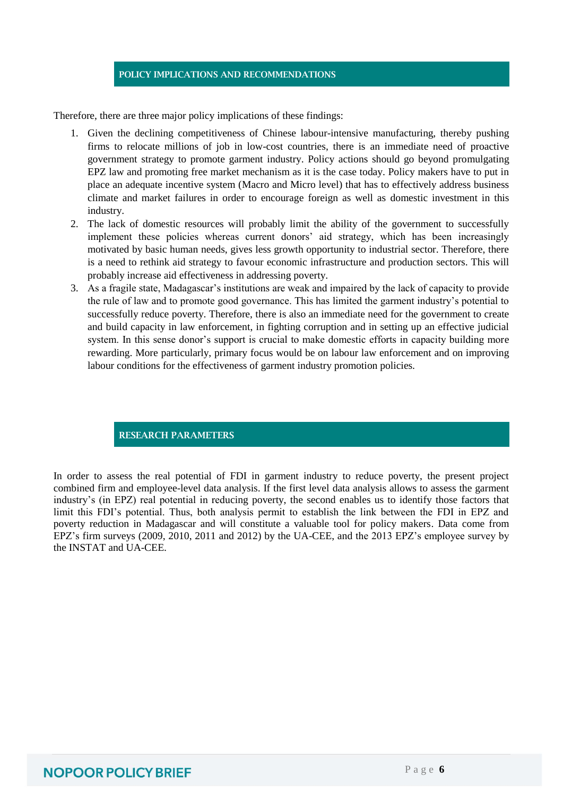#### **POLICY IMPLICATIONS AND RECOMMENDATIONS**

Therefore, there are three major policy implications of these findings:

- 1. Given the declining competitiveness of Chinese labour-intensive manufacturing, thereby pushing firms to relocate millions of job in low-cost countries, there is an immediate need of proactive government strategy to promote garment industry. Policy actions should go beyond promulgating EPZ law and promoting free market mechanism as it is the case today. Policy makers have to put in place an adequate incentive system (Macro and Micro level) that has to effectively address business climate and market failures in order to encourage foreign as well as domestic investment in this industry.
- 2. The lack of domestic resources will probably limit the ability of the government to successfully implement these policies whereas current donors' aid strategy, which has been increasingly motivated by basic human needs, gives less growth opportunity to industrial sector. Therefore, there is a need to rethink aid strategy to favour economic infrastructure and production sectors. This will probably increase aid effectiveness in addressing poverty.
- 3. As a fragile state, Madagascar's institutions are weak and impaired by the lack of capacity to provide the rule of law and to promote good governance. This has limited the garment industry's potential to successfully reduce poverty. Therefore, there is also an immediate need for the government to create and build capacity in law enforcement, in fighting corruption and in setting up an effective judicial system. In this sense donor's support is crucial to make domestic efforts in capacity building more rewarding. More particularly, primary focus would be on labour law enforcement and on improving labour conditions for the effectiveness of garment industry promotion policies.

**RESEARCH PARAMETERS**

In order to assess the real potential of FDI in garment industry to reduce poverty, the present project combined firm and employee-level data analysis. If the first level data analysis allows to assess the garment industry's (in EPZ) real potential in reducing poverty, the second enables us to identify those factors that limit this FDI's potential. Thus, both analysis permit to establish the link between the FDI in EPZ and poverty reduction in Madagascar and will constitute a valuable tool for policy makers. Data come from EPZ's firm surveys (2009, 2010, 2011 and 2012) by the UA-CEE, and the 2013 EPZ's employee survey by the INSTAT and UA-CEE.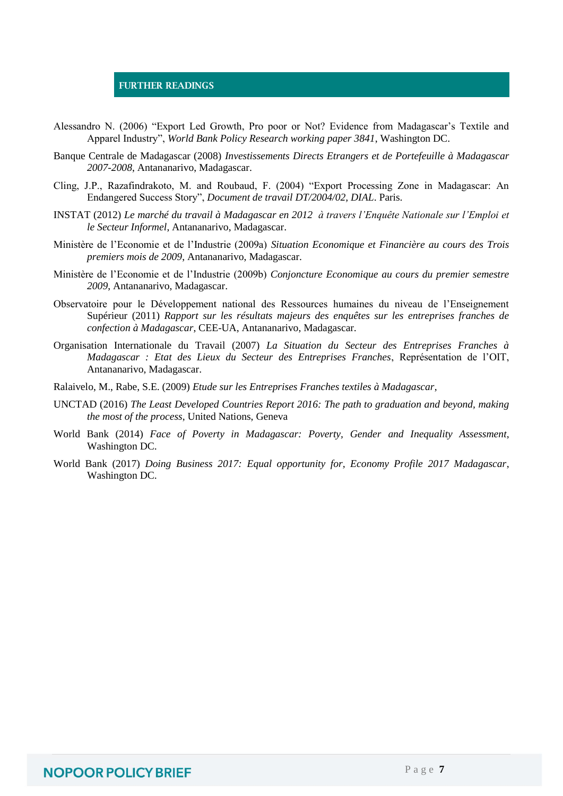#### **FURTHER READINGS**

- Alessandro N. (2006) "Export Led Growth, Pro poor or Not? Evidence from Madagascar's Textile and Apparel Industry", *World Bank Policy Research working paper 3841*, Washington DC.
- Banque Centrale de Madagascar (2008) *Investissements Directs Etrangers et de Portefeuille à Madagascar 2007-2008*, Antananarivo, Madagascar.
- Cling, J.P., Razafindrakoto, M. and Roubaud, F. (2004) "Export Processing Zone in Madagascar: An Endangered Success Story", *Document de travail DT/2004/02, DIAL*. Paris.
- INSTAT (2012) *Le marché du travail à Madagascar en 2012 à travers l'Enquête Nationale sur l'Emploi et le Secteur Informel*, Antananarivo, Madagascar.
- Ministère de l'Economie et de l'Industrie (2009a) *Situation Economique et Financière au cours des Trois premiers mois de 2009*, Antananarivo, Madagascar.
- Ministère de l'Economie et de l'Industrie (2009b) *Conjoncture Economique au cours du premier semestre 2009*, Antananarivo, Madagascar.
- Observatoire pour le Développement national des Ressources humaines du niveau de l'Enseignement Supérieur (2011) *Rapport sur les résultats majeurs des enquêtes sur les entreprises franches de confection à Madagascar*, CEE-UA, Antananarivo, Madagascar.
- Organisation Internationale du Travail (2007) *La Situation du Secteur des Entreprises Franches à Madagascar : Etat des Lieux du Secteur des Entreprises Franches*, Représentation de l'OIT, Antananarivo, Madagascar.
- Ralaivelo, M., Rabe, S.E. (2009) *Etude sur les Entreprises Franches textiles à Madagascar*,
- UNCTAD (2016) *The Least Developed Countries Report 2016: The path to graduation and beyond, making the most of the process*, United Nations, Geneva
- World Bank (2014) *Face of Poverty in Madagascar: Poverty, Gender and Inequality Assessment*, Washington DC.
- World Bank (2017) *Doing Business 2017: Equal opportunity for, Economy Profile 2017 Madagascar*, Washington DC.